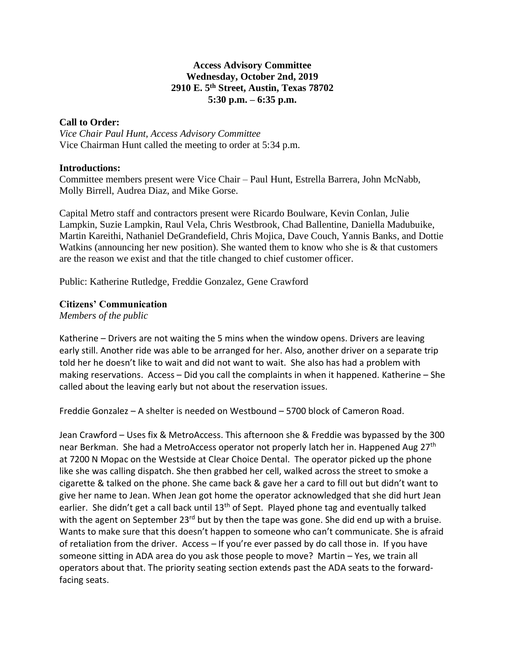## **Access Advisory Committee Wednesday, October 2nd, 2019 2910 E. 5th Street, Austin, Texas 78702 5:30 p.m. – 6:35 p.m.**

## **Call to Order:**

*Vice Chair Paul Hunt, Access Advisory Committee* Vice Chairman Hunt called the meeting to order at 5:34 p.m.

## **Introductions:**

Committee members present were Vice Chair – Paul Hunt, Estrella Barrera, John McNabb, Molly Birrell, Audrea Diaz, and Mike Gorse.

Capital Metro staff and contractors present were Ricardo Boulware, Kevin Conlan, Julie Lampkin, Suzie Lampkin, Raul Vela, Chris Westbrook, Chad Ballentine, Daniella Madubuike, Martin Kareithi, Nathaniel DeGrandefield, Chris Mojica, Dave Couch, Yannis Banks, and Dottie Watkins (announcing her new position). She wanted them to know who she is & that customers are the reason we exist and that the title changed to chief customer officer.

Public: Katherine Rutledge, Freddie Gonzalez, Gene Crawford

# **Citizens' Communication**

*Members of the public*

Katherine – Drivers are not waiting the 5 mins when the window opens. Drivers are leaving early still. Another ride was able to be arranged for her. Also, another driver on a separate trip told her he doesn't like to wait and did not want to wait. She also has had a problem with making reservations. Access – Did you call the complaints in when it happened. Katherine – She called about the leaving early but not about the reservation issues.

Freddie Gonzalez – A shelter is needed on Westbound – 5700 block of Cameron Road.

Jean Crawford – Uses fix & MetroAccess. This afternoon she & Freddie was bypassed by the 300 near Berkman. She had a MetroAccess operator not properly latch her in. Happened Aug 27<sup>th</sup> at 7200 N Mopac on the Westside at Clear Choice Dental. The operator picked up the phone like she was calling dispatch. She then grabbed her cell, walked across the street to smoke a cigarette & talked on the phone. She came back & gave her a card to fill out but didn't want to give her name to Jean. When Jean got home the operator acknowledged that she did hurt Jean earlier. She didn't get a call back until 13<sup>th</sup> of Sept. Played phone tag and eventually talked with the agent on September 23<sup>rd</sup> but by then the tape was gone. She did end up with a bruise. Wants to make sure that this doesn't happen to someone who can't communicate. She is afraid of retaliation from the driver. Access – If you're ever passed by do call those in. If you have someone sitting in ADA area do you ask those people to move? Martin – Yes, we train all operators about that. The priority seating section extends past the ADA seats to the forwardfacing seats.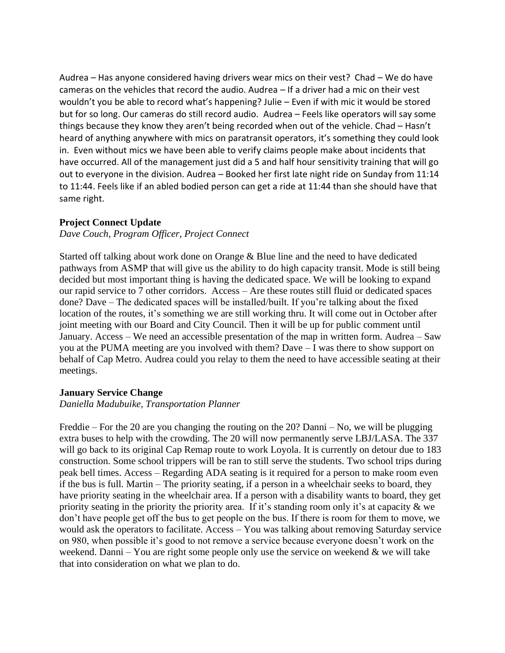Audrea – Has anyone considered having drivers wear mics on their vest? Chad – We do have cameras on the vehicles that record the audio. Audrea – If a driver had a mic on their vest wouldn't you be able to record what's happening? Julie – Even if with mic it would be stored but for so long. Our cameras do still record audio. Audrea – Feels like operators will say some things because they know they aren't being recorded when out of the vehicle. Chad – Hasn't heard of anything anywhere with mics on paratransit operators, it's something they could look in. Even without mics we have been able to verify claims people make about incidents that have occurred. All of the management just did a 5 and half hour sensitivity training that will go out to everyone in the division. Audrea – Booked her first late night ride on Sunday from 11:14 to 11:44. Feels like if an abled bodied person can get a ride at 11:44 than she should have that same right.

## **Project Connect Update**

## *Dave Couch, Program Officer, Project Connect*

Started off talking about work done on Orange & Blue line and the need to have dedicated pathways from ASMP that will give us the ability to do high capacity transit. Mode is still being decided but most important thing is having the dedicated space. We will be looking to expand our rapid service to 7 other corridors. Access – Are these routes still fluid or dedicated spaces done? Dave – The dedicated spaces will be installed/built. If you're talking about the fixed location of the routes, it's something we are still working thru. It will come out in October after joint meeting with our Board and City Council. Then it will be up for public comment until January. Access – We need an accessible presentation of the map in written form. Audrea – Saw you at the PUMA meeting are you involved with them? Dave – I was there to show support on behalf of Cap Metro. Audrea could you relay to them the need to have accessible seating at their meetings.

## **January Service Change**

#### *Daniella Madubuike, Transportation Planner*

Freddie – For the 20 are you changing the routing on the 20? Danni – No, we will be plugging extra buses to help with the crowding. The 20 will now permanently serve LBJ/LASA. The 337 will go back to its original Cap Remap route to work Loyola. It is currently on detour due to 183 construction. Some school trippers will be ran to still serve the students. Two school trips during peak bell times. Access – Regarding ADA seating is it required for a person to make room even if the bus is full. Martin – The priority seating, if a person in a wheelchair seeks to board, they have priority seating in the wheelchair area. If a person with a disability wants to board, they get priority seating in the priority the priority area. If it's standing room only it's at capacity & we don't have people get off the bus to get people on the bus. If there is room for them to move, we would ask the operators to facilitate. Access – You was talking about removing Saturday service on 980, when possible it's good to not remove a service because everyone doesn't work on the weekend. Danni – You are right some people only use the service on weekend  $\&$  we will take that into consideration on what we plan to do.